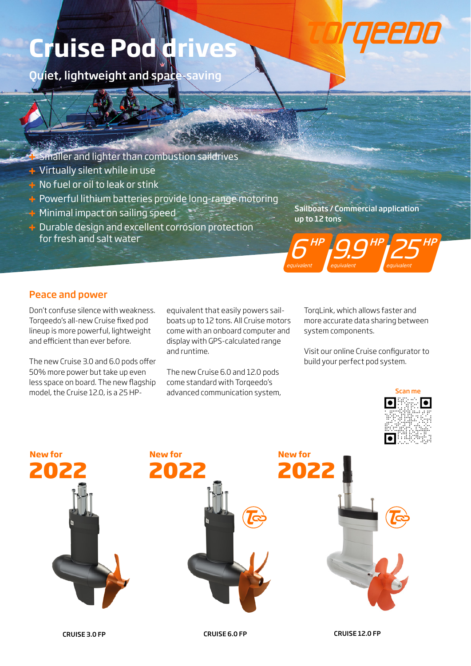# **Cruise Pod drive**

Quiet, lightweight and space-saving

- Smaller and lighter than combustion saildrives
- Virtually silent while in use
- $\pm$  No fuel or oil to leak or stink
- **+** Powerful lithium batteries provide long-range motoring
- **Minimal impact on sailing speed**
- $\div$  Durable design and excellent corrosion protection for fresh and salt water

Sailboats / Commercial application up to 12 tons



### Peace and power

Don't confuse silence with weakness. Torqeedo's all-new Cruise fixed pod lineup is more powerful, lightweight and efficient than ever before.

The new Cruise 3.0 and 6.0 pods offer 50% more power but take up even less space on board. The new flagship model, the Cruise 12.0, is a 25 HP-

equivalent that easily powers sailboats up to 12 tons. All Cruise motors come with an onboard computer and display with GPS-calculated range and runtime.

The new Cruise 6.0 and 12.0 pods come standard with Torqeedo's advanced communication system, TorqLink, which allows faster and more accurate data sharing between system components.

Visit our online Cruise configurator to build your perfect pod system.